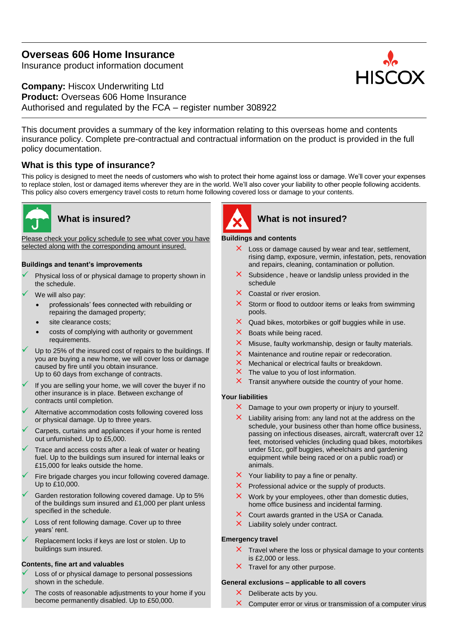# **Overseas 606 Home Insurance**

Insurance product information document

# **Company:** Hiscox Underwriting Ltd **Product:** Overseas 606 Home Insurance Authorised and regulated by the FCA – register number 308922

This document provides a summary of the key information relating to this overseas home and contents insurance policy. Complete pre-contractual and contractual information on the product is provided in the full policy documentation.

# **What is this type of insurance?**

This policy is designed to meet the needs of customers who wish to protect their home against loss or damage. We'll cover your expenses to replace stolen, lost or damaged items wherever they are in the world. We'll also cover your liability to other people following accidents. This policy also covers emergency travel costs to return home following covered loss or damage to your contents.



Please check your policy schedule to see what cover you have selected along with the corresponding amount insured.

### **Buildings and tenant's improvements**

- Physical loss of or physical damage to property shown in the schedule.
- We will also pay:
	- professionals' fees connected with rebuilding or repairing the damaged property;
	- site clearance costs;
	- costs of complying with authority or government requirements.
- Up to 25% of the insured cost of repairs to the buildings. If you are buying a new home, we will cover loss or damage caused by fire until you obtain insurance. Up to 60 days from exchange of contracts.
- If you are selling your home, we will cover the buyer if no other insurance is in place. Between exchange of contracts until completion.
- Alternative accommodation costs following covered loss or physical damage. Up to three years.
- Carpets, curtains and appliances if your home is rented out unfurnished. Up to £5,000.
- Trace and access costs after a leak of water or heating fuel. Up to the buildings sum insured for internal leaks or £15,000 for leaks outside the home.
- Fire brigade charges you incur following covered damage. Up to £10,000.
- Garden restoration following covered damage. Up to 5% of the buildings sum insured and £1,000 per plant unless specified in the schedule.
- Loss of rent following damage. Cover up to three years' rent.
- Replacement locks if keys are lost or stolen. Up to buildings sum insured.

# **Contents, fine art and valuables**

- Loss of or physical damage to personal possessions shown in the schedule.
- The costs of reasonable adjustments to your home if you become permanently disabled. Up to £50,000.



# **What is insured? What is not insured?**

### **Buildings and contents**

- $\times$  Loss or damage caused by wear and tear, settlement, rising damp, exposure, vermin, infestation, pets, renovation and repairs, cleaning, contamination or pollution.
- $\times$  Subsidence, heave or landslip unless provided in the schedule
- $\times$  Coastal or river erosion.
- $\times$  Storm or flood to outdoor items or leaks from swimming pools.
- $\times$  Quad bikes, motorbikes or golf buggies while in use.
- $\times$  Boats while being raced.
- $\times$  Misuse, faulty workmanship, design or faulty materials.
- $\times$  Maintenance and routine repair or redecoration.
- $\times$  Mechanical or electrical faults or breakdown.
- $\times$  The value to you of lost information.
- $\times$  Transit anywhere outside the country of your home.

### **Your liabilities**

- $\times$  Damage to your own property or injury to yourself.
- $\times$  Liability arising from: any land not at the address on the schedule, your business other than home office business, passing on infectious diseases, aircraft, watercraft over 12 feet, motorised vehicles (including quad bikes, motorbikes under 51cc, golf buggies, wheelchairs and gardening equipment while being raced or on a public road) or animals.
- $\times$  Your liability to pay a fine or penalty.
- $\times$  Professional advice or the supply of products.
- $\times$  Work by your employees, other than domestic duties, home office business and incidental farming.
- $\times$  Court awards granted in the USA or Canada.
- $\times$  Liability solely under contract.

### **Emergency travel**

- $\times$  Travel where the loss or physical damage to your contents is £2,000 or less.
- $\times$  Travel for any other purpose.

### **General exclusions – applicable to all covers**

- $\times$  Deliberate acts by you.
- $\times$  Computer error or virus or transmission of a computer virus

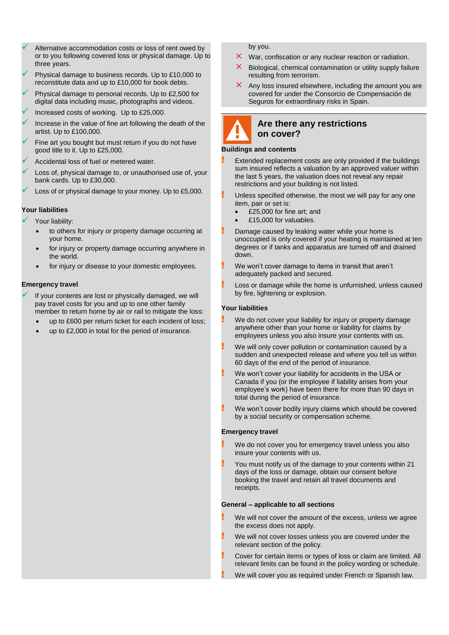- Alternative accommodation costs or loss of rent owed by or to you following covered loss or physical damage. Up to three years.
- Physical damage to business records. Up to £10,000 to reconstitute data and up to £10,000 for book debts.
- Physical damage to personal records. Up to £2,500 for digital data including music, photographs and videos.
- Increased costs of working. Up to £25,000.
- Increase in the value of fine art following the death of the artist. Up to £100,000.
- Fine art you bought but must return if you do not have good title to it. Up to £25,000.
- Accidental loss of fuel or metered water.
- Loss of, physical damage to, or unauthorised use of, your bank cards. Up to £30,000.
- Loss of or physical damage to your money. Up to £5,000.

### **Your liabilities**

Your liability:

- to others for injury or property damage occurring at your home.
- for injury or property damage occurring anywhere in the world.
- for injury or disease to your domestic employees.

#### **Emergency travel**

- If your contents are lost or physically damaged, we will pay travel costs for you and up to one other family member to return home by air or rail to mitigate the loss:
	- up to £600 per return ticket for each incident of loss;
	- up to £2,000 in total for the period of insurance.

by you.

- $\times$  War, confiscation or any nuclear reaction or radiation.
- $\times$  Biological, chemical contamination or utility supply failure resulting from terrorism.
- $\times$  Any loss insured elsewhere, including the amount you are covered for under the Consorcio de Compensación de Seguros for extraordinary risks in Spain.



### **Are there any restrictions on cover?**

#### **Buildings and contents**

- Extended replacement costs are only provided if the buildings sum insured reflects a valuation by an approved valuer within the last 5 years, the valuation does not reveal any repair restrictions and your building is not listed.
- Unless specified otherwise, the most we will pay for any one item, pair or set is:
	- £25,000 for fine art; and
	- £15,000 for valuables.
- Damage caused by leaking water while your home is unoccupied is only covered if your heating is maintained at ten degrees or if tanks and apparatus are turned off and drained down.
- We won't cover damage to items in transit that aren't adequately packed and secured.
- Loss or damage while the home is unfurnished, unless caused by fire, lightening or explosion.

#### **Your liabilities**

- We do not cover your liability for injury or property damage anywhere other than your home or liability for claims by employees unless you also insure your contents with us.
- We will only cover pollution or contamination caused by a sudden and unexpected release and where you tell us within 60 days of the end of the period of insurance.
- We won't cover your liability for accidents in the USA or Canada if you (or the employee if liability arises from your employee's work) have been there for more than 90 days in total during the period of insurance.
- We won't cover bodily injury claims which should be covered by a social security or compensation scheme.

#### **Emergency travel**

- We do not cover you for emergency travel unless you also insure your contents with us.
- ! You must notify us of the damage to your contents within 21 days of the loss or damage, obtain our consent before booking the travel and retain all travel documents and receipts.

#### **General – applicable to all sections**

- We will not cover the amount of the excess, unless we agree the excess does not apply.
- We will not cover losses unless you are covered under the relevant section of the policy.
- ! Cover for certain items or types of loss or claim are limited. All relevant limits can be found in the policy wording or schedule.
	- We will cover you as required under French or Spanish law.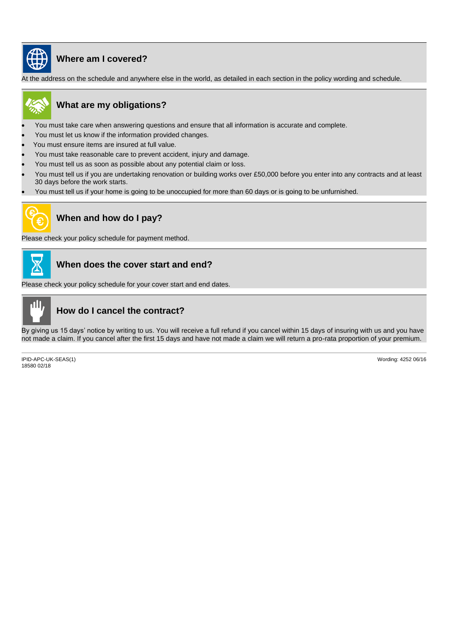

# **Where am I covered?**

At the address on the schedule and anywhere else in the world, as detailed in each section in the policy wording and schedule.



# **What are my obligations?**

- You must take care when answering questions and ensure that all information is accurate and complete.
- You must let us know if the information provided changes.
- You must ensure items are insured at full value.
- You must take reasonable care to prevent accident, injury and damage.
- You must tell us as soon as possible about any potential claim or loss.
- You must tell us if you are undertaking renovation or building works over £50,000 before you enter into any contracts and at least 30 days before the work starts.
- You must tell us if your home is going to be unoccupied for more than 60 days or is going to be unfurnished.



# **When and how do I pay?**

Please check your policy schedule for payment method.



# **When does the cover start and end?**

Please check your policy schedule for your cover start and end dates.



# **How do I cancel the contract?**

By giving us 15 days' notice by writing to us. You will receive a full refund if you cancel within 15 days of insuring with us and you have not made a claim. If you cancel after the first 15 days and have not made a claim we will return a pro-rata proportion of your premium.

IPID-APC-UK-SEAS(1) 18580 02/18

Wording: 4252 06/16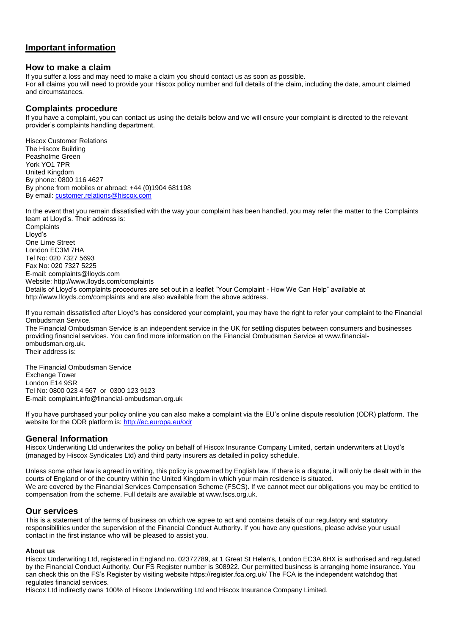# **Important information**

### **How to make a claim**

If you suffer a loss and may need to make a claim you should contact us as soon as possible. For all claims you will need to provide your Hiscox policy number and full details of the claim, including the date, amount claimed and circumstances.

# **Complaints procedure**

If you have a complaint, you can contact us using the details below and we will ensure your complaint is directed to the relevant provider's complaints handling department.

Hiscox Customer Relations The Hiscox Building Peasholme Green York YO1 7PR United Kingdom By phone: 0800 116 4627 By phone from mobiles or abroad: +44 (0)1904 681198 By email: [customer.relations@hiscox.com](mailto:customer.relations@hiscox.com)

In the event that you remain dissatisfied with the way your complaint has been handled, you may refer the matter to the Complaints team at Lloyd's. Their address is: Complaints Lloyd's One Lime Street London EC3M 7HA Tel No: 020 7327 5693 Fax No: 020 7327 5225 E-mail: complaints@lloyds.com Website: http://www.lloyds.com/complaints Details of Lloyd's complaints procedures are set out in a leaflet "Your Complaint - How We Can Help" available at http://www.lloyds.com/complaints and are also available from the above address.

If you remain dissatisfied after Lloyd's has considered your complaint, you may have the right to refer your complaint to the Financial Ombudsman Service.

The Financial Ombudsman Service is an independent service in the UK for settling disputes between consumers and businesses providing financial services. You can find more information on the Financial Ombudsman Service at www.financialombudsman.org.uk. Their address is:

The Financial Ombudsman Service Exchange Tower London E14 9SR Tel No: 0800 023 4 567 or 0300 123 9123 E-mail: complaint.info@financial-ombudsman.org.uk

If you have purchased your policy online you can also make a complaint via the EU's online dispute resolution (ODR) platform. The website for the ODR platform is:<http://ec.europa.eu/odr>

# **General Information**

Hiscox Underwriting Ltd underwrites the policy on behalf of Hiscox Insurance Company Limited, certain underwriters at Lloyd's (managed by Hiscox Syndicates Ltd) and third party insurers as detailed in policy schedule.

Unless some other law is agreed in writing, this policy is governed by English law. If there is a dispute, it will only be dealt with in the courts of England or of the country within the United Kingdom in which your main residence is situated. We are covered by the Financial Services Compensation Scheme (FSCS). If we cannot meet our obligations you may be entitled to compensation from the scheme. Full details are available at www.fscs.org.uk.

# **Our services**

This is a statement of the terms of business on which we agree to act and contains details of our regulatory and statutory responsibilities under the supervision of the Financial Conduct Authority. If you have any questions, please advise your usual contact in the first instance who will be pleased to assist you.

### **About us**

Hiscox Underwriting Ltd, registered in England no. 02372789, at 1 Great St Helen's, London EC3A 6HX is authorised and regulated by the Financial Conduct Authority. Our FS Register number is 308922. Our permitted business is arranging home insurance. You can check this on the FS's Register by visiting website https://register.fca.org.uk/ The FCA is the independent watchdog that regulates financial services.

Hiscox Ltd indirectly owns 100% of Hiscox Underwriting Ltd and Hiscox Insurance Company Limited.